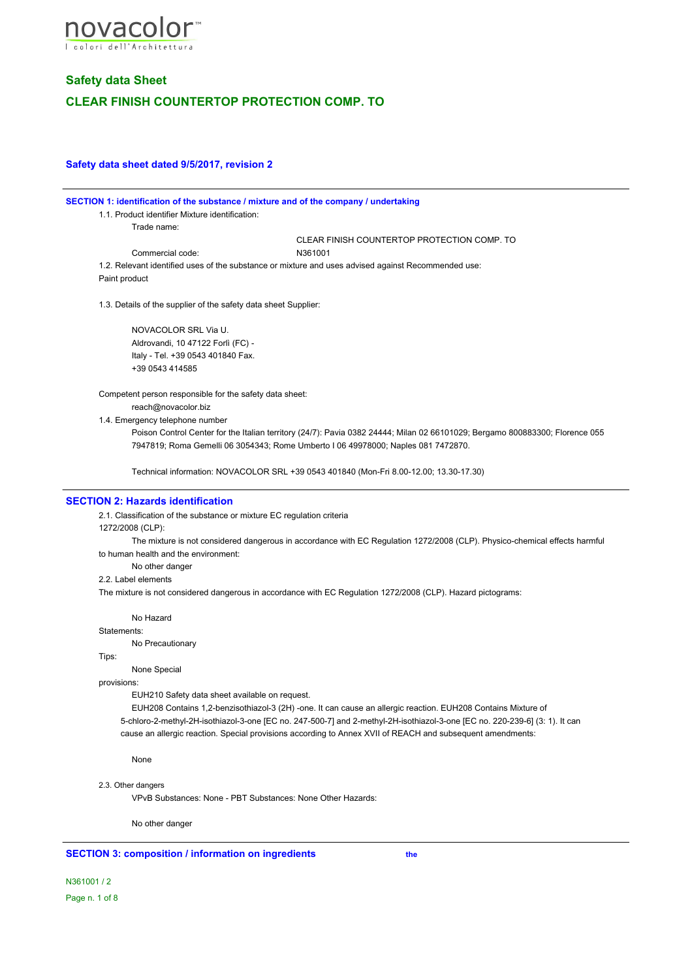

## **Safety data sheet dated 9/5/2017, revision 2**

#### **SECTION 1: identification of the substance / mixture and of the company / undertaking**

1.1. Product identifier Mixture identification:

Trade name:

CLEAR FINISH COUNTERTOP PROTECTION COMP. TO

Commercial code: N361001

1.2. Relevant identified uses of the substance or mixture and uses advised against Recommended use: Paint product

1.3. Details of the supplier of the safety data sheet Supplier:

NOVACOLOR SRL Via U. Aldrovandi, 10 47122 Forlì (FC) - Italy - Tel. +39 0543 401840 Fax. +39 0543 414585

Competent person responsible for the safety data sheet:

reach@novacolor.biz

1.4. Emergency telephone number

Poison Control Center for the Italian territory (24/7): Pavia 0382 24444; Milan 02 66101029; Bergamo 800883300; Florence 055 7947819; Roma Gemelli 06 3054343; Rome Umberto I 06 49978000; Naples 081 7472870.

Technical information: NOVACOLOR SRL +39 0543 401840 (Mon-Fri 8.00-12.00; 13.30-17.30)

## **SECTION 2: Hazards identification**

2.1. Classification of the substance or mixture EC regulation criteria

1272/2008 (CLP):

The mixture is not considered dangerous in accordance with EC Regulation 1272/2008 (CLP). Physico-chemical effects harmful to human health and the environment:

No other danger

2.2. Label elements

The mixture is not considered dangerous in accordance with EC Regulation 1272/2008 (CLP). Hazard pictograms:

No Hazard

Statements:

No Precautionary

Tips:

None Special

#### provisions:

EUH210 Safety data sheet available on request.

EUH208 Contains 1,2-benzisothiazol-3 (2H) -one. It can cause an allergic reaction. EUH208 Contains Mixture of 5-chloro-2-methyl-2H-isothiazol-3-one [EC no. 247-500-7] and 2-methyl-2H-isothiazol-3-one [EC no. 220-239-6] (3: 1). It can cause an allergic reaction. Special provisions according to Annex XVII of REACH and subsequent amendments:

None

### 2.3. Other dangers

VPvB Substances: None - PBT Substances: None Other Hazards:

No other danger

#### **SECTION 3: composition / information on ingredients the**

N361001 / 2 Page n. 1 of 8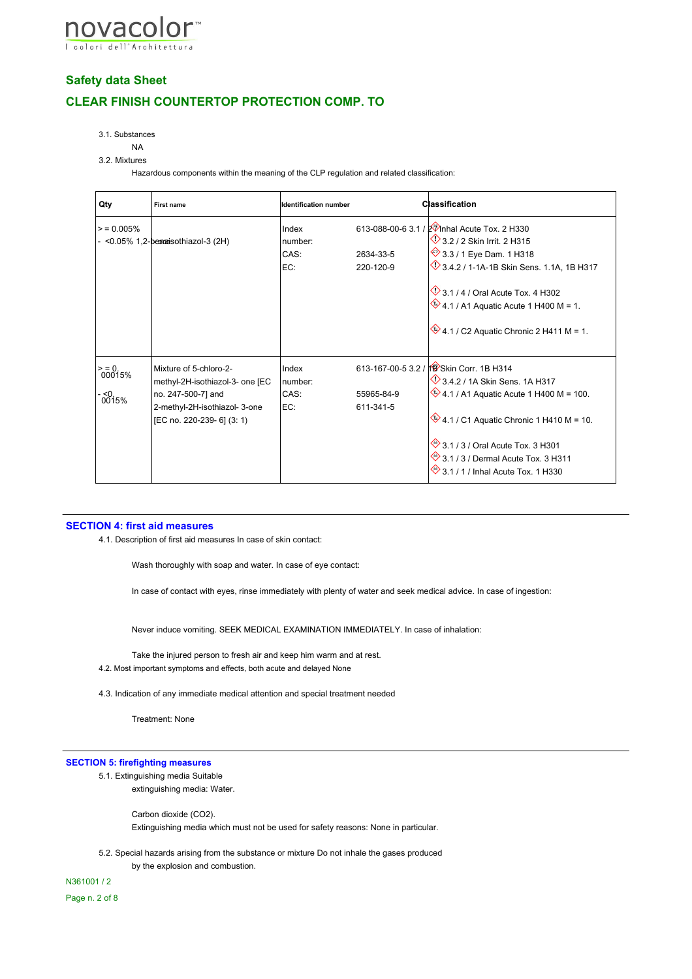

3.1. Substances

## NA

#### 3.2. Mixtures

Hazardous components within the meaning of the CLP regulation and related classification:

| Qty                                 | <b>First name</b>                                                                                                                              | <b>Identification number</b>    |                         | <b>Classification</b>                                                                                                                                                                                                                                                                                                  |
|-------------------------------------|------------------------------------------------------------------------------------------------------------------------------------------------|---------------------------------|-------------------------|------------------------------------------------------------------------------------------------------------------------------------------------------------------------------------------------------------------------------------------------------------------------------------------------------------------------|
| > 0.005%                            | - < 0.05% 1, 2-be massiothiazol-3 (2H)                                                                                                         | Index<br>number:<br>CAS:<br>EC: | 2634-33-5<br>220-120-9  | 613-088-00-6 3.1 / 2 7 Inhal Acute Tox. 2 H330<br>3.2 / 2 Skin Irrit. 2 H315<br>3.3 / 1 Eye Dam. 1 H318<br>3.4.2 / 1-1A-1B Skin Sens. 1.1A, 1B H317<br>$\Diamond$ 3.1 / 4 / Oral Acute Tox. 4 H302<br>$\bigotimes$ 4.1 / A1 Aquatic Acute 1 H400 M = 1.<br>$\bullet$ 4.1 / C2 Aquatic Chronic 2 H411 M = 1.            |
| $\frac{500015}{8}$<br>. <0<br>0015% | Mixture of 5-chloro-2-<br>methyl-2H-isothiazol-3- one [EC<br>no. 247-500-7] and<br>2-methyl-2H-isothiazol- 3-one<br>[EC no. 220-239- 6] (3: 1) | Index<br>number:<br>CAS:<br>EC: | 55965-84-9<br>611-341-5 | 613-167-00-5 3.2 / 18 Skin Corr, 1B H314<br>$\vee$ 3.4.2 / 1A Skin Sens. 1A H317<br>$\frac{1}{2}$ 4.1 / A1 Aquatic Acute 1 H400 M = 100.<br>$\bullet$ 4.1 / C1 Aquatic Chronic 1 H410 M = 10.<br>3.1 / 3 / Oral Acute Tox. 3 H301<br>3.1 / 3 / Dermal Acute Tox. 3 H311<br>$\otimes$ 3.1 / 1 / Inhal Acute Tox. 1 H330 |

#### **SECTION 4: first aid measures**

4.1. Description of first aid measures In case of skin contact:

Wash thoroughly with soap and water. In case of eye contact:

In case of contact with eyes, rinse immediately with plenty of water and seek medical advice. In case of ingestion:

Never induce vomiting. SEEK MEDICAL EXAMINATION IMMEDIATELY. In case of inhalation:

Take the injured person to fresh air and keep him warm and at rest. 4.2. Most important symptoms and effects, both acute and delayed None

4.3. Indication of any immediate medical attention and special treatment needed

Treatment: None

#### **SECTION 5: firefighting measures**

5.1. Extinguishing media Suitable extinguishing media: Water.

> Carbon dioxide (CO2). Extinguishing media which must not be used for safety reasons: None in particular.

5.2. Special hazards arising from the substance or mixture Do not inhale the gases produced by the explosion and combustion.

N361001 / 2

Page n. 2 of 8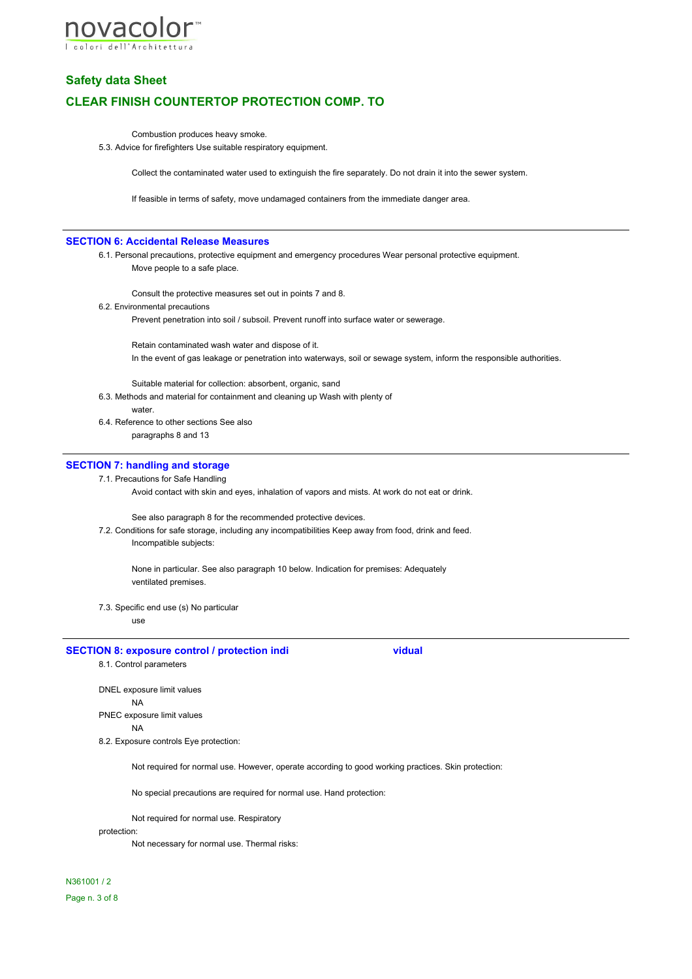

Combustion produces heavy smoke.

5.3. Advice for firefighters Use suitable respiratory equipment.

Collect the contaminated water used to extinguish the fire separately. Do not drain it into the sewer system.

If feasible in terms of safety, move undamaged containers from the immediate danger area.

#### **SECTION 6: Accidental Release Measures**

6.1. Personal precautions, protective equipment and emergency procedures Wear personal protective equipment. Move people to a safe place.

Consult the protective measures set out in points 7 and 8.

6.2. Environmental precautions

Prevent penetration into soil / subsoil. Prevent runoff into surface water or sewerage.

Retain contaminated wash water and dispose of it. In the event of gas leakage or penetration into waterways, soil or sewage system, inform the responsible authorities.

Suitable material for collection: absorbent, organic, sand

- 6.3. Methods and material for containment and cleaning up Wash with plenty of water.
- 6.4. Reference to other sections See also paragraphs 8 and 13

# **SECTION 7: handling and storage**

7.1. Precautions for Safe Handling

Avoid contact with skin and eyes, inhalation of vapors and mists. At work do not eat or drink.

See also paragraph 8 for the recommended protective devices.

7.2. Conditions for safe storage, including any incompatibilities Keep away from food, drink and feed. Incompatible subjects:

None in particular. See also paragraph 10 below. Indication for premises: Adequately ventilated premises.

7.3. Specific end use (s) No particular

use

#### **SECTION 8: exposure control / protection indi** vidual

8.1. Control parameters

DNEL exposure limit values NA

PNEC exposure limit values

# NA

8.2. Exposure controls Eye protection:

Not required for normal use. However, operate according to good working practices. Skin protection:

No special precautions are required for normal use. Hand protection:

Not required for normal use. Respiratory

#### protection:

Not necessary for normal use. Thermal risks:

N361001 / 2 Page n. 3 of 8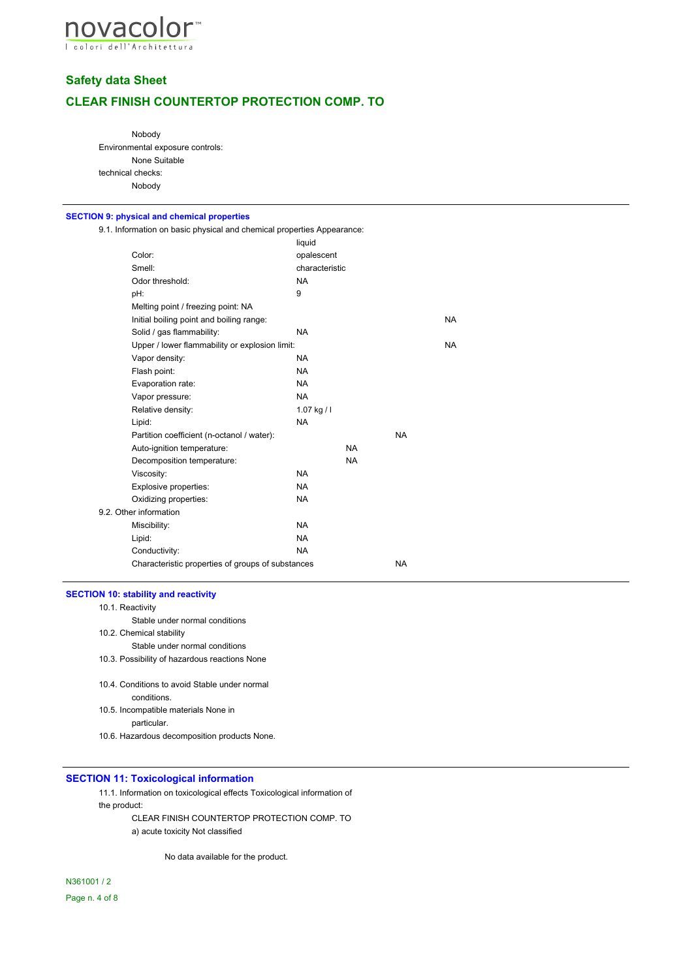

# **Safety data Sheet**

# **CLEAR FINISH COUNTERTOP PROTECTION COMP. TO**

Nobody Environmental exposure controls: None Suitable technical checks: Nobody

#### **SECTION 9: physical and chemical properties**

9.1. Information on basic physical and chemical properties Appearance:

|                                                   | liquid         |           |           |           |  |
|---------------------------------------------------|----------------|-----------|-----------|-----------|--|
| Color:                                            | opalescent     |           |           |           |  |
| Smell:                                            | characteristic |           |           |           |  |
| Odor threshold:                                   | <b>NA</b>      |           |           |           |  |
| pH:                                               | 9              |           |           |           |  |
| Melting point / freezing point: NA                |                |           |           |           |  |
| Initial boiling point and boiling range:          |                |           |           | <b>NA</b> |  |
| Solid / gas flammability:                         | <b>NA</b>      |           |           |           |  |
| Upper / lower flammability or explosion limit:    |                |           |           |           |  |
| Vapor density:                                    | NA.            |           |           |           |  |
| Flash point:                                      | <b>NA</b>      |           |           |           |  |
| Evaporation rate:                                 | NA.            |           |           |           |  |
| Vapor pressure:                                   | <b>NA</b>      |           |           |           |  |
| Relative density:                                 | $1.07$ kg / l  |           |           |           |  |
| Lipid:                                            | <b>NA</b>      |           |           |           |  |
| Partition coefficient (n-octanol / water):        |                |           | <b>NA</b> |           |  |
| Auto-ignition temperature:                        |                | <b>NA</b> |           |           |  |
| Decomposition temperature:                        |                | <b>NA</b> |           |           |  |
| Viscosity:                                        | <b>NA</b>      |           |           |           |  |
| Explosive properties:                             | <b>NA</b>      |           |           |           |  |
| Oxidizing properties:                             | <b>NA</b>      |           |           |           |  |
| Other information                                 |                |           |           |           |  |
| Miscibility:                                      | <b>NA</b>      |           |           |           |  |
| Lipid:                                            | <b>NA</b>      |           |           |           |  |
| Conductivity:                                     | NA.            |           |           |           |  |
| Characteristic properties of groups of substances |                |           | <b>NA</b> |           |  |
|                                                   |                |           |           |           |  |

# **SECTION 10: stability and reactivity**

10.1. Reactivity

 $9.2.$ 

Stable under normal conditions

10.2. Chemical stability

Stable under normal conditions

10.3. Possibility of hazardous reactions None

- 10.4. Conditions to avoid Stable under normal conditions.
- 10.5. Incompatible materials None in particular.

10.6. Hazardous decomposition products None.

#### **SECTION 11: Toxicological information**

11.1. Information on toxicological effects Toxicological information of the product:

CLEAR FINISH COUNTERTOP PROTECTION COMP. TO a) acute toxicity Not classified

No data available for the product.

N361001 / 2 Page n. 4 of 8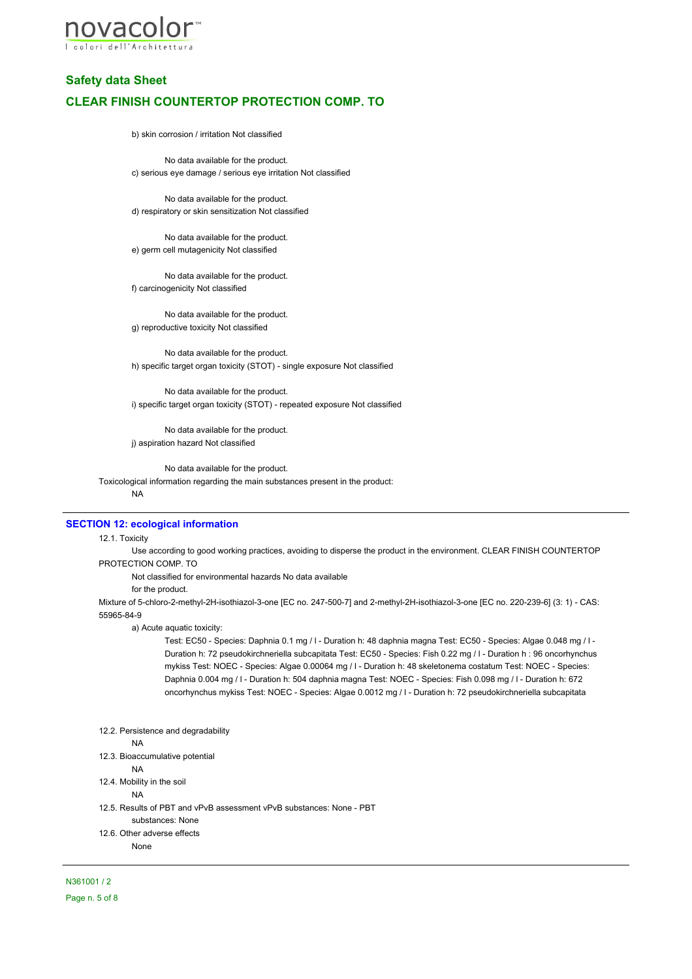

b) skin corrosion / irritation Not classified

No data available for the product. c) serious eye damage / serious eye irritation Not classified

No data available for the product. d) respiratory or skin sensitization Not classified

No data available for the product. e) germ cell mutagenicity Not classified

No data available for the product. f) carcinogenicity Not classified

No data available for the product. g) reproductive toxicity Not classified

No data available for the product. h) specific target organ toxicity (STOT) - single exposure Not classified

No data available for the product. i) specific target organ toxicity (STOT) - repeated exposure Not classified

No data available for the product. j) aspiration hazard Not classified

No data available for the product.

Toxicological information regarding the main substances present in the product: NA

#### **SECTION 12: ecological information**

#### 12.1. Toxicity

Use according to good working practices, avoiding to disperse the product in the environment. CLEAR FINISH COUNTERTOP PROTECTION COMP. TO

Not classified for environmental hazards No data available

for the product.

Mixture of 5-chloro-2-methyl-2H-isothiazol-3-one [EC no. 247-500-7] and 2-methyl-2H-isothiazol-3-one [EC no. 220-239-6] (3: 1) - CAS: 55965-84-9

a) Acute aquatic toxicity:

Test: EC50 - Species: Daphnia 0.1 mg / l - Duration h: 48 daphnia magna Test: EC50 - Species: Algae 0.048 mg / l - Duration h: 72 pseudokirchneriella subcapitata Test: EC50 - Species: Fish 0.22 mg / l - Duration h : 96 oncorhynchus mykiss Test: NOEC - Species: Algae 0.00064 mg / l - Duration h: 48 skeletonema costatum Test: NOEC - Species: Daphnia 0.004 mg / l - Duration h: 504 daphnia magna Test: NOEC - Species: Fish 0.098 mg / l - Duration h: 672 oncorhynchus mykiss Test: NOEC - Species: Algae 0.0012 mg / l - Duration h: 72 pseudokirchneriella subcapitata

12.2. Persistence and degradability

#### NA

12.3. Bioaccumulative potential

NA

12.4. Mobility in the soil

NA

12.5. Results of PBT and vPvB assessment vPvB substances: None - PBT substances: None 12.6. Other adverse effects

None

N361001 / 2 Page n. 5 of 8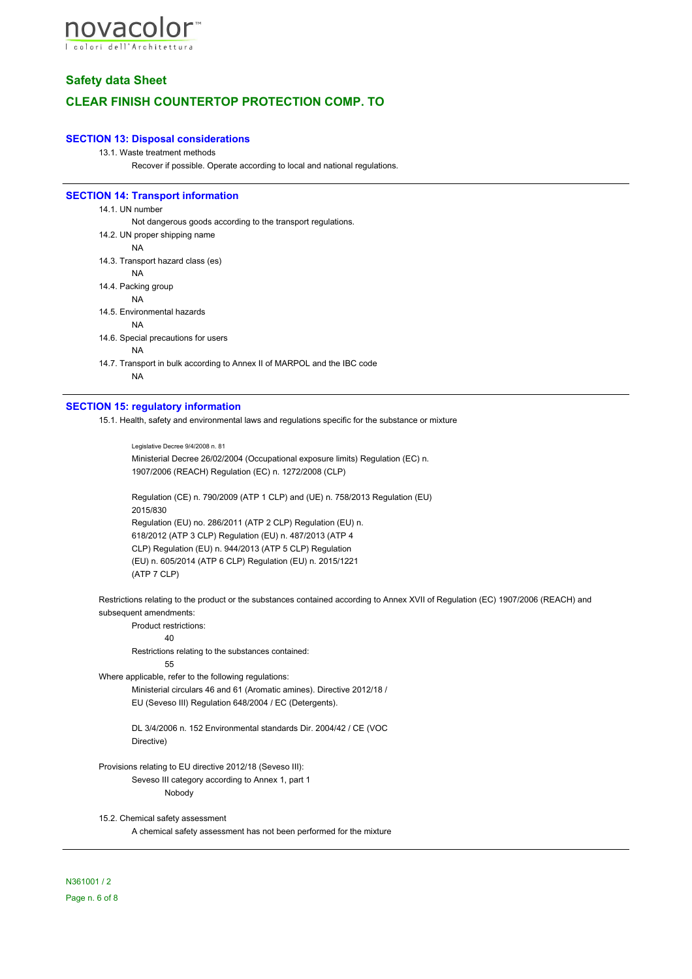

# **Safety data Sheet**

# **CLEAR FINISH COUNTERTOP PROTECTION COMP. TO**

## **SECTION 13: Disposal considerations**

#### 13.1. Waste treatment methods

Recover if possible. Operate according to local and national regulations.

#### **SECTION 14: Transport information**

14.1. UN number Not dangerous goods according to the transport regulations. 14.2. UN proper shipping name NA 14.3. Transport hazard class (es) NA 14.4. Packing group NA 14.5. Environmental hazards NA 14.6. Special precautions for users NA

14.7. Transport in bulk according to Annex II of MARPOL and the IBC code NA

#### **SECTION 15: regulatory information**

15.1. Health, safety and environmental laws and regulations specific for the substance or mixture

Legislative Decree 9/4/2008 n. 81 Ministerial Decree 26/02/2004 (Occupational exposure limits) Regulation (EC) n. 1907/2006 (REACH) Regulation (EC) n. 1272/2008 (CLP)

Regulation (CE) n. 790/2009 (ATP 1 CLP) and (UE) n. 758/2013 Regulation (EU) 2015/830 Regulation (EU) no. 286/2011 (ATP 2 CLP) Regulation (EU) n. 618/2012 (ATP 3 CLP) Regulation (EU) n. 487/2013 (ATP 4 CLP) Regulation (EU) n. 944/2013 (ATP 5 CLP) Regulation (EU) n. 605/2014 (ATP 6 CLP) Regulation (EU) n. 2015/1221 (ATP 7 CLP)

Restrictions relating to the product or the substances contained according to Annex XVII of Regulation (EC) 1907/2006 (REACH) and subsequent amendments:

Product restrictions:

40

Restrictions relating to the substances contained:

55

Where applicable, refer to the following regulations:

Ministerial circulars 46 and 61 (Aromatic amines). Directive 2012/18 / EU (Seveso III) Regulation 648/2004 / EC (Detergents).

DL 3/4/2006 n. 152 Environmental standards Dir. 2004/42 / CE (VOC Directive)

Provisions relating to EU directive 2012/18 (Seveso III): Seveso III category according to Annex 1, part 1 Nobody

15.2. Chemical safety assessment A chemical safety assessment has not been performed for the mixture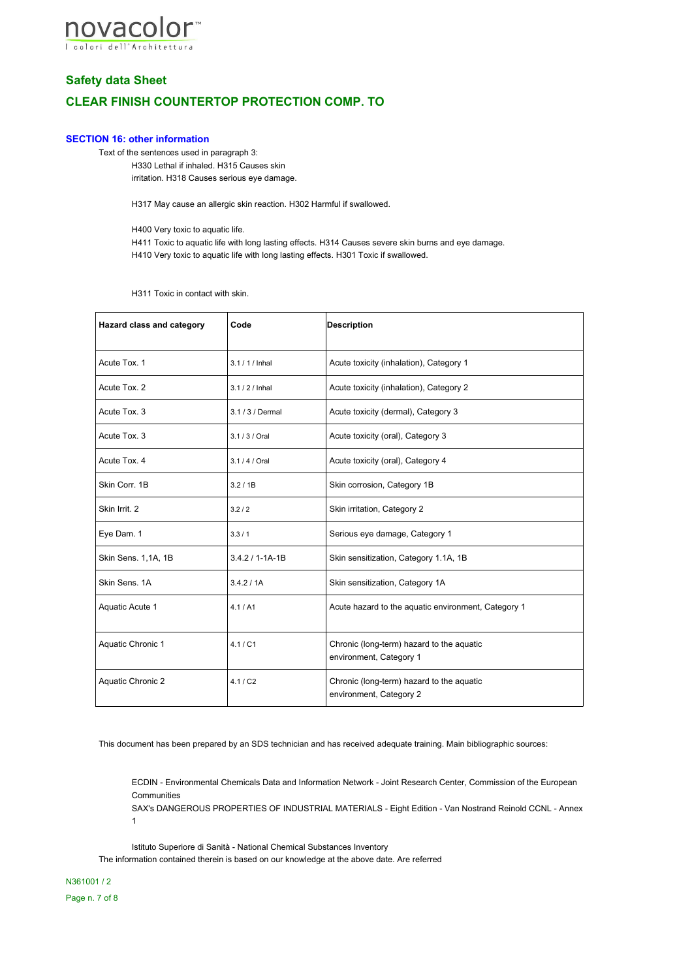

# **Safety data Sheet**

# **CLEAR FINISH COUNTERTOP PROTECTION COMP. TO**

## **SECTION 16: other information**

Text of the sentences used in paragraph 3:

H330 Lethal if inhaled. H315 Causes skin irritation. H318 Causes serious eye damage.

H317 May cause an allergic skin reaction. H302 Harmful if swallowed.

H400 Very toxic to aquatic life.

H411 Toxic to aquatic life with long lasting effects. H314 Causes severe skin burns and eye damage. H410 Very toxic to aquatic life with long lasting effects. H301 Toxic if swallowed.

H311 Toxic in contact with skin.

| Hazard class and category | Code                  | <b>Description</b>                                                   |  |
|---------------------------|-----------------------|----------------------------------------------------------------------|--|
| Acute Tox. 1              | $3.1 / 1 /$ Inhal     | Acute toxicity (inhalation), Category 1                              |  |
| Acute Tox. 2              | $3.1 / 2 /$ Inhal     | Acute toxicity (inhalation), Category 2                              |  |
| Acute Tox. 3              | 3.1 / 3 / Dermal      | Acute toxicity (dermal), Category 3                                  |  |
| Acute Tox. 3              | 3.1/3/Oral            | Acute toxicity (oral), Category 3                                    |  |
| Acute Tox. 4              | 3.1/4/Oral            | Acute toxicity (oral), Category 4                                    |  |
| Skin Corr. 1B             | 3.2/1B                | Skin corrosion, Category 1B                                          |  |
| Skin Irrit. 2             | 3.2/2                 | Skin irritation, Category 2                                          |  |
| Eye Dam. 1                | 3.3/1                 | Serious eye damage, Category 1                                       |  |
| Skin Sens. 1,1A, 1B       | $3.4.2 / 1 - 1A - 1B$ | Skin sensitization, Category 1.1A, 1B                                |  |
| Skin Sens, 1A             | 3.4.2 / 1A            | Skin sensitization, Category 1A                                      |  |
| Aquatic Acute 1           | 4.1 / A1              | Acute hazard to the aquatic environment, Category 1                  |  |
| Aquatic Chronic 1         | 4.1 / C1              | Chronic (long-term) hazard to the aquatic<br>environment, Category 1 |  |
| Aquatic Chronic 2         | 4.1 / C2              | Chronic (long-term) hazard to the aquatic<br>environment, Category 2 |  |

This document has been prepared by an SDS technician and has received adequate training. Main bibliographic sources:

ECDIN - Environmental Chemicals Data and Information Network - Joint Research Center, Commission of the European **Communities** 

SAX's DANGEROUS PROPERTIES OF INDUSTRIAL MATERIALS - Eight Edition - Van Nostrand Reinold CCNL - Annex 1

Istituto Superiore di Sanità - National Chemical Substances Inventory

The information contained therein is based on our knowledge at the above date. Are referred

N361001 / 2 Page n. 7 of 8